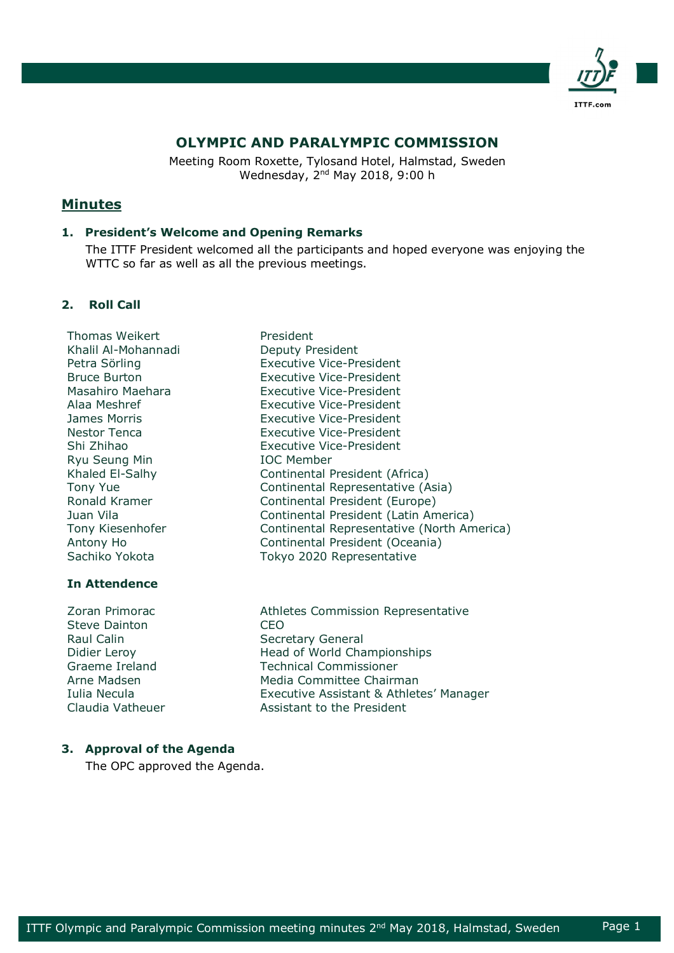

# **OLYMPIC AND PARALYMPIC COMMISSION**

Meeting Room Roxette, Tylosand Hotel, Halmstad, Sweden Wednesday, 2nd May 2018, 9:00 h

# **Minutes**

## **1. President's Welcome and Opening Remarks**

The ITTF President welcomed all the participants and hoped everyone was enjoying the WTTC so far as well as all the previous meetings.

## **2. Roll Call**

Thomas Weikert **President** Khalil Al-Mohannadi Deputy President Ryu Seung Min **IOC Member** 

## **In Attendence**

Steve Dainton **CEO** Raul Calin Secretary General

Petra Sörling **Executive Vice-President** Bruce Burton Executive Vice-President Masahiro Maehara Executive Vice-President Alaa Meshref Executive Vice-President James Morris Executive Vice-President Nestor Tenca Executive Vice-President Shi Zhihao Executive Vice-President Khaled El-Salhy Continental President (Africa) Tony Yue **Continental Representative (Asia)** Ronald Kramer **Continental President (Europe)** Juan Vila Continental President (Latin America) Tony Kiesenhofer Continental Representative (North America) Antony Ho Continental President (Oceania) Sachiko Yokota Tokyo 2020 Representative

Zoran Primorac **Athletes Commission Representative** Didier Leroy **Example 2** Head of World Championships Graeme Ireland Technical Commissioner Arne Madsen **Media Committee Chairman** Iulia Necula Executive Assistant & Athletes' Manager Claudia Vatheuer **Assistant to the President** 

## **3. Approval of the Agenda**

The OPC approved the Agenda.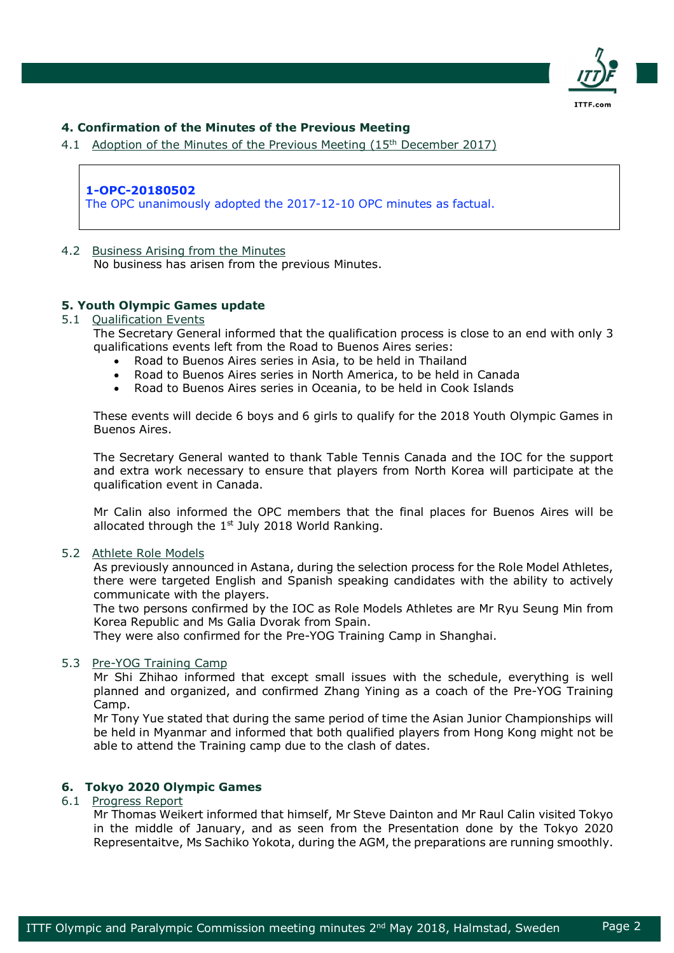

## **4. Confirmation of the Minutes of the Previous Meeting**

4.1 Adoption of the Minutes of the Previous Meeting (15<sup>th</sup> December 2017)

## **1-OPC-20180502**

The OPC unanimously adopted the 2017-12-10 OPC minutes as factual.

### 4.2 Business Arising from the Minutes

No business has arisen from the previous Minutes.

## **5. Youth Olympic Games update**

### 5.1 Oualification Events

The Secretary General informed that the qualification process is close to an end with only 3 qualifications events left from the Road to Buenos Aires series:

- Road to Buenos Aires series in Asia, to be held in Thailand
- Road to Buenos Aires series in North America, to be held in Canada
- Road to Buenos Aires series in Oceania, to be held in Cook Islands

These events will decide 6 boys and 6 girls to qualify for the 2018 Youth Olympic Games in Buenos Aires.

The Secretary General wanted to thank Table Tennis Canada and the IOC for the support and extra work necessary to ensure that players from North Korea will participate at the qualification event in Canada.

Mr Calin also informed the OPC members that the final places for Buenos Aires will be allocated through the  $1<sup>st</sup>$  July 2018 World Ranking.

#### 5.2 Athlete Role Models

As previously announced in Astana, during the selection process for the Role Model Athletes, there were targeted English and Spanish speaking candidates with the ability to actively communicate with the players.

The two persons confirmed by the IOC as Role Models Athletes are Mr Ryu Seung Min from Korea Republic and Ms Galia Dvorak from Spain.

They were also confirmed for the Pre-YOG Training Camp in Shanghai.

#### 5.3 Pre-YOG Training Camp

Mr Shi Zhihao informed that except small issues with the schedule, everything is well planned and organized, and confirmed Zhang Yining as a coach of the Pre-YOG Training Camp.

Mr Tony Yue stated that during the same period of time the Asian Junior Championships will be held in Myanmar and informed that both qualified players from Hong Kong might not be able to attend the Training camp due to the clash of dates.

## **6. Tokyo 2020 Olympic Games**

### 6.1 Progress Report

Mr Thomas Weikert informed that himself, Mr Steve Dainton and Mr Raul Calin visited Tokyo in the middle of January, and as seen from the Presentation done by the Tokyo 2020 Representaitve, Ms Sachiko Yokota, during the AGM, the preparations are running smoothly.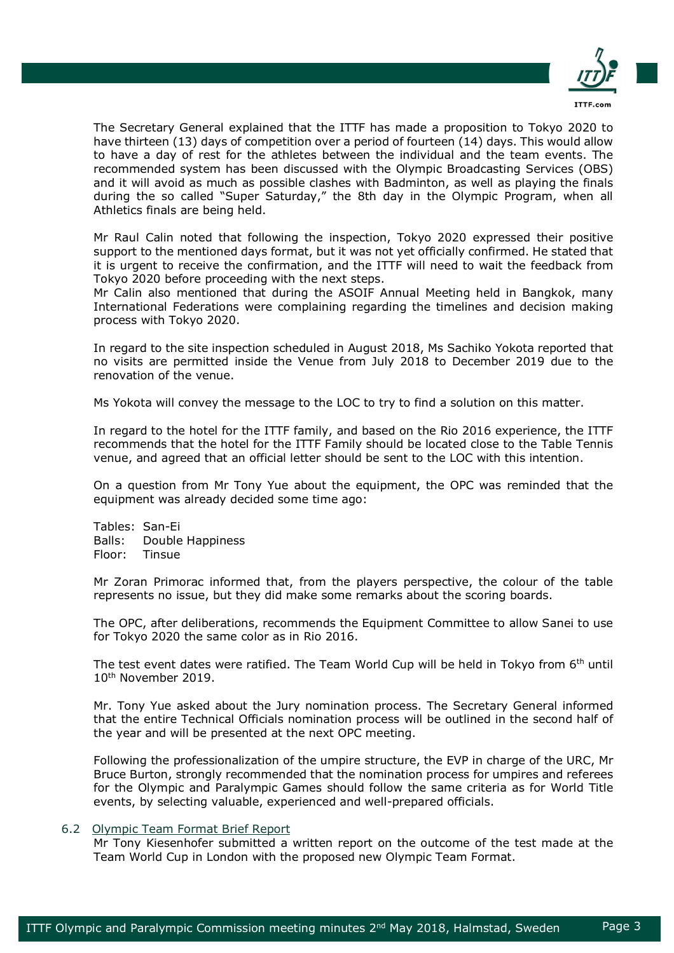

The Secretary General explained that the ITTF has made a proposition to Tokyo 2020 to have thirteen (13) days of competition over a period of fourteen (14) days. This would allow to have a day of rest for the athletes between the individual and the team events. The recommended system has been discussed with the Olympic Broadcasting Services (OBS) and it will avoid as much as possible clashes with Badminton, as well as playing the finals during the so called "Super Saturday," the 8th day in the Olympic Program, when all Athletics finals are being held.

Mr Raul Calin noted that following the inspection, Tokyo 2020 expressed their positive support to the mentioned days format, but it was not yet officially confirmed. He stated that it is urgent to receive the confirmation, and the ITTF will need to wait the feedback from Tokyo 2020 before proceeding with the next steps.

Mr Calin also mentioned that during the ASOIF Annual Meeting held in Bangkok, many International Federations were complaining regarding the timelines and decision making process with Tokyo 2020.

In regard to the site inspection scheduled in August 2018, Ms Sachiko Yokota reported that no visits are permitted inside the Venue from July 2018 to December 2019 due to the renovation of the venue.

Ms Yokota will convey the message to the LOC to try to find a solution on this matter.

In regard to the hotel for the ITTF family, and based on the Rio 2016 experience, the ITTF recommends that the hotel for the ITTF Family should be located close to the Table Tennis venue, and agreed that an official letter should be sent to the LOC with this intention.

On a question from Mr Tony Yue about the equipment, the OPC was reminded that the equipment was already decided some time ago:

Tables: San-Ei Balls: Double Happiness Floor: Tinsue

Mr Zoran Primorac informed that, from the players perspective, the colour of the table represents no issue, but they did make some remarks about the scoring boards.

The OPC, after deliberations, recommends the Equipment Committee to allow Sanei to use for Tokyo 2020 the same color as in Rio 2016.

The test event dates were ratified. The Team World Cup will be held in Tokyo from  $6<sup>th</sup>$  until 10th November 2019.

Mr. Tony Yue asked about the Jury nomination process. The Secretary General informed that the entire Technical Officials nomination process will be outlined in the second half of the year and will be presented at the next OPC meeting.

Following the professionalization of the umpire structure, the EVP in charge of the URC, Mr Bruce Burton, strongly recommended that the nomination process for umpires and referees for the Olympic and Paralympic Games should follow the same criteria as for World Title events, by selecting valuable, experienced and well-prepared officials.

#### 6.2 Olympic Team Format Brief Report

Mr Tony Kiesenhofer submitted a written report on the outcome of the test made at the Team World Cup in London with the proposed new Olympic Team Format.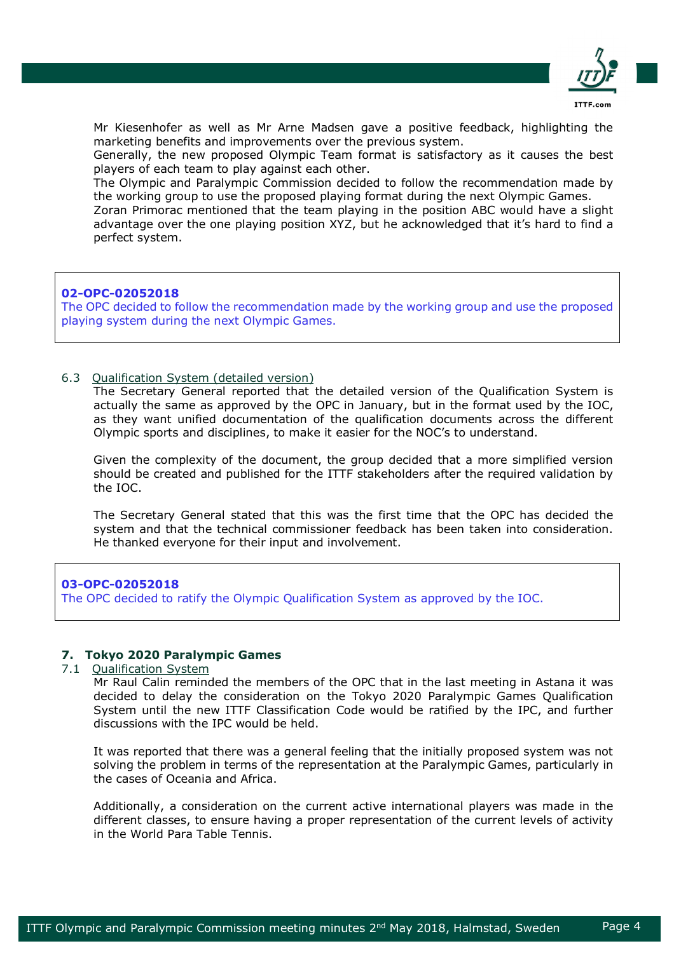

Mr Kiesenhofer as well as Mr Arne Madsen gave a positive feedback, highlighting the marketing benefits and improvements over the previous system.

Generally, the new proposed Olympic Team format is satisfactory as it causes the best players of each team to play against each other.

The Olympic and Paralympic Commission decided to follow the recommendation made by the working group to use the proposed playing format during the next Olympic Games.

Zoran Primorac mentioned that the team playing in the position ABC would have a slight advantage over the one playing position XYZ, but he acknowledged that it's hard to find a perfect system.

### **02-OPC-02052018**

The OPC decided to follow the recommendation made by the working group and use the proposed playing system during the next Olympic Games.

### 6.3 Qualification System (detailed version)

The Secretary General reported that the detailed version of the Qualification System is actually the same as approved by the OPC in January, but in the format used by the IOC, as they want unified documentation of the qualification documents across the different Olympic sports and disciplines, to make it easier for the NOC's to understand.

Given the complexity of the document, the group decided that a more simplified version should be created and published for the ITTF stakeholders after the required validation by the IOC.

The Secretary General stated that this was the first time that the OPC has decided the system and that the technical commissioner feedback has been taken into consideration. He thanked everyone for their input and involvement.

#### **03-OPC-02052018**

The OPC decided to ratify the Olympic Qualification System as approved by the IOC.

### **7. Tokyo 2020 Paralympic Games**

#### 7.1 Qualification System

Mr Raul Calin reminded the members of the OPC that in the last meeting in Astana it was decided to delay the consideration on the Tokyo 2020 Paralympic Games Qualification System until the new ITTF Classification Code would be ratified by the IPC, and further discussions with the IPC would be held.

It was reported that there was a general feeling that the initially proposed system was not solving the problem in terms of the representation at the Paralympic Games, particularly in the cases of Oceania and Africa.

Additionally, a consideration on the current active international players was made in the different classes, to ensure having a proper representation of the current levels of activity in the World Para Table Tennis.